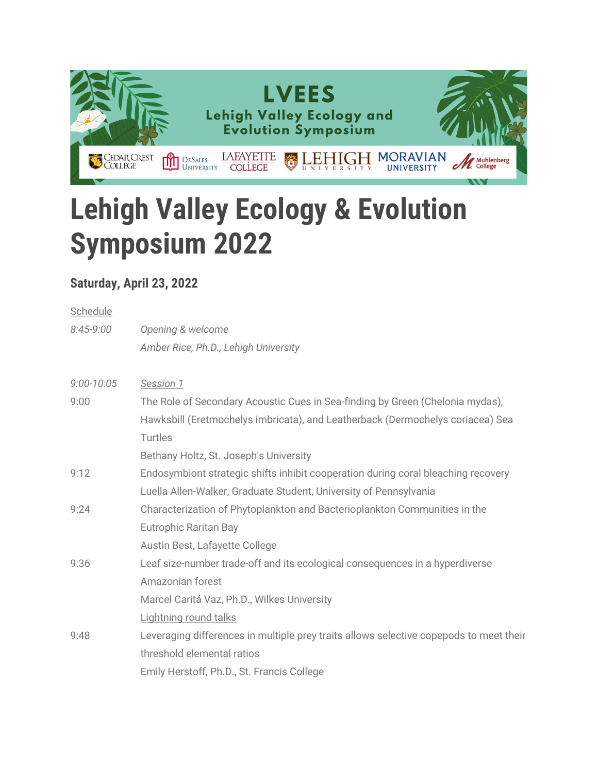

## **Lehigh Valley Ecology & Evolution Symposium 2022**

## **Saturday, April 23, 2022**

| Schedule       |                                                                                        |
|----------------|----------------------------------------------------------------------------------------|
| $8:45-9:00$    | Opening & welcome                                                                      |
|                | Amber Rice, Ph.D., Lehigh University                                                   |
| $9:00 - 10:05$ | Session 1                                                                              |
| 9:00           | The Role of Secondary Acoustic Cues in Sea-finding by Green (Chelonia mydas),          |
|                | Hawksbill (Eretmochelys imbricata), and Leatherback (Dermochelys coriacea) Sea         |
|                | Turtles                                                                                |
|                | Bethany Holtz, St. Joseph's University                                                 |
| 9:12           | Endosymbiont strategic shifts inhibit cooperation during coral bleaching recovery      |
|                | Luella Allen-Walker, Graduate Student, University of Pennsylvania                      |
| 9:24           | Characterization of Phytoplankton and Bacterioplankton Communities in the              |
|                | <b>Eutrophic Raritan Bay</b>                                                           |
|                | Austin Best, Lafayette College                                                         |
| 9:36           | Leaf size-number trade-off and its ecological consequences in a hyperdiverse           |
|                | Amazonian forest                                                                       |
|                | Marcel Caritá Vaz, Ph.D., Wilkes University                                            |
|                | Lightning round talks                                                                  |
| 9:48           | Leveraging differences in multiple prey traits allows selective copepods to meet their |
|                | threshold elemental ratios                                                             |
|                | Emily Herstoff, Ph.D., St. Francis College                                             |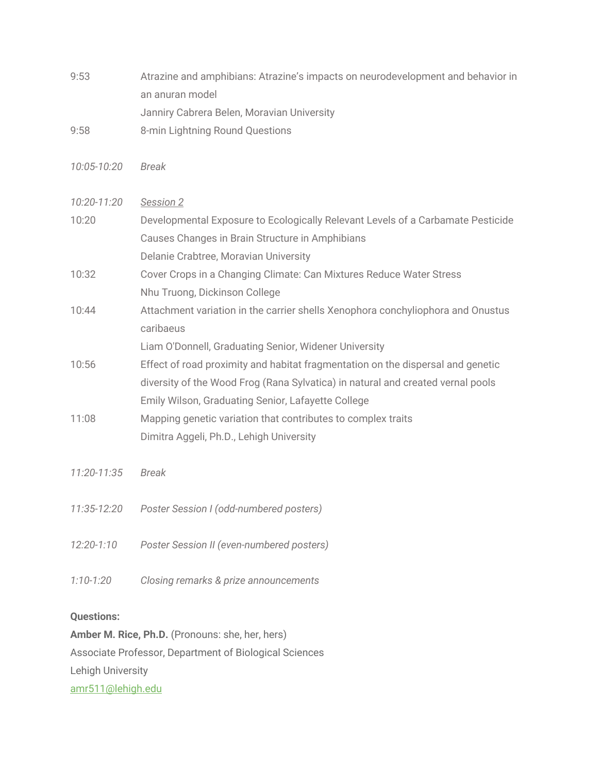- 9:53 Atrazine and amphibians: Atrazine's impacts on neurodevelopment and behavior in an anuran model Janniry Cabrera Belen, Moravian University
- 9:58 8-min Lightning Round Questions
- *10:05-10:20 Break*
- *10:20-11:20 Session 2* 10:20 Developmental Exposure to Ecologically Relevant Levels of a Carbamate Pesticide Causes Changes in Brain Structure in Amphibians Delanie Crabtree, Moravian University 10:32 Cover Crops in a Changing Climate: Can Mixtures Reduce Water Stress Nhu Truong, Dickinson College 10:44 Attachment variation in the carrier shells Xenophora conchyliophora and Onustus caribaeus Liam O'Donnell, Graduating Senior, Widener University 10:56 Effect of road proximity and habitat fragmentation on the dispersal and genetic diversity of the Wood Frog (Rana Sylvatica) in natural and created vernal pools Emily Wilson, Graduating Senior, Lafayette College 11:08 Mapping genetic variation that contributes to complex traits Dimitra Aggeli, Ph.D., Lehigh University
- *11:20-11:35 Break*
- *11:35-12:20 Poster Session I (odd-numbered posters)*
- *12:20-1:10 Poster Session II (even-numbered posters)*
- *1:10-1:20 Closing remarks & prize announcements*

## **Questions:**

**Amber M. Rice, Ph.D.** (Pronouns: she, her, hers) Associate Professor, Department of Biological Sciences Lehigh University amr511@lehigh.edu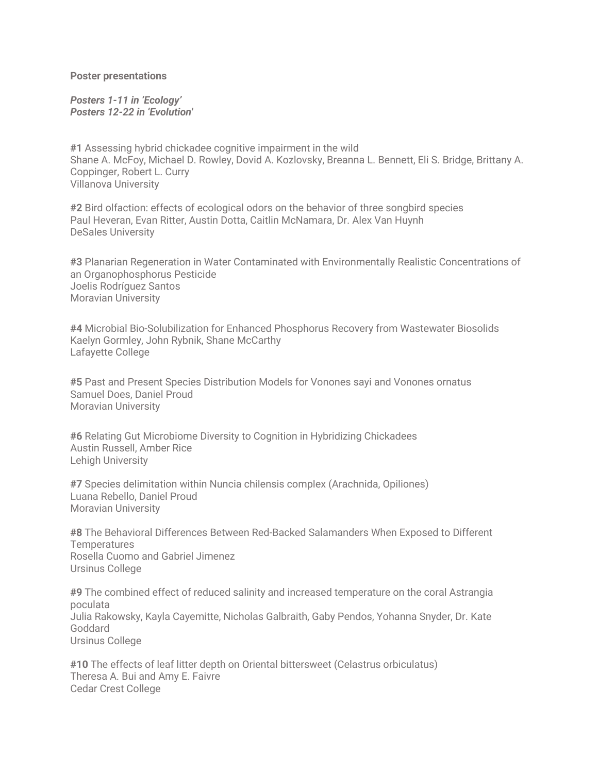**Poster presentations**

*Posters 1-11 in 'Ecology' Posters 12-22 in 'Evolution'* 

**#1** Assessing hybrid chickadee cognitive impairment in the wild Shane A. McFoy, Michael D. Rowley, Dovid A. Kozlovsky, Breanna L. Bennett, Eli S. Bridge, Brittany A. Coppinger, Robert L. Curry Villanova University

**#2** Bird olfaction: effects of ecological odors on the behavior of three songbird species Paul Heveran, Evan Ritter, Austin Dotta, Caitlin McNamara, Dr. Alex Van Huynh DeSales University

**#3** Planarian Regeneration in Water Contaminated with Environmentally Realistic Concentrations of an Organophosphorus Pesticide Joelis Rodríguez Santos Moravian University

**#4** Microbial Bio-Solubilization for Enhanced Phosphorus Recovery from Wastewater Biosolids Kaelyn Gormley, John Rybnik, Shane McCarthy Lafayette College

**#5** Past and Present Species Distribution Models for Vonones sayi and Vonones ornatus Samuel Does, Daniel Proud Moravian University

**#6** Relating Gut Microbiome Diversity to Cognition in Hybridizing Chickadees Austin Russell, Amber Rice Lehigh University

**#7** Species delimitation within Nuncia chilensis complex (Arachnida, Opiliones) Luana Rebello, Daniel Proud Moravian University

**#8** The Behavioral Differences Between Red-Backed Salamanders When Exposed to Different **Temperatures** Rosella Cuomo and Gabriel Jimenez Ursinus College

**#9** The combined effect of reduced salinity and increased temperature on the coral Astrangia poculata Julia Rakowsky, Kayla Cayemitte, Nicholas Galbraith, Gaby Pendos, Yohanna Snyder, Dr. Kate Goddard Ursinus College

**#10** The effects of leaf litter depth on Oriental bittersweet (Celastrus orbiculatus) Theresa A. Bui and Amy E. Faivre Cedar Crest College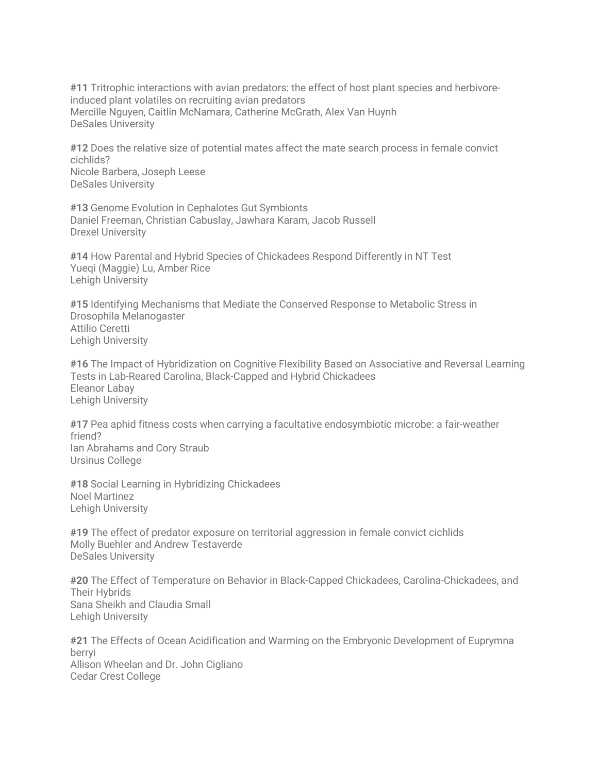**#11** Tritrophic interactions with avian predators: the effect of host plant species and herbivoreinduced plant volatiles on recruiting avian predators Mercille Nguyen, Caitlin McNamara, Catherine McGrath, Alex Van Huynh DeSales University

**#12** Does the relative size of potential mates affect the mate search process in female convict cichlids? Nicole Barbera, Joseph Leese DeSales University

**#13** Genome Evolution in Cephalotes Gut Symbionts Daniel Freeman, Christian Cabuslay, Jawhara Karam, Jacob Russell Drexel University

**#14** How Parental and Hybrid Species of Chickadees Respond Differently in NT Test Yueqi (Maggie) Lu, Amber Rice Lehigh University

**#15** Identifying Mechanisms that Mediate the Conserved Response to Metabolic Stress in Drosophila Melanogaster Attilio Ceretti Lehigh University

**#16** The Impact of Hybridization on Cognitive Flexibility Based on Associative and Reversal Learning Tests in Lab-Reared Carolina, Black-Capped and Hybrid Chickadees Eleanor Labay Lehigh University

**#17** Pea aphid fitness costs when carrying a facultative endosymbiotic microbe: a fair-weather friend? Ian Abrahams and Cory Straub Ursinus College

**#18** Social Learning in Hybridizing Chickadees Noel Martinez Lehigh University

**#19** The effect of predator exposure on territorial aggression in female convict cichlids Molly Buehler and Andrew Testaverde DeSales University

**#20** The Effect of Temperature on Behavior in Black-Capped Chickadees, Carolina-Chickadees, and Their Hybrids Sana Sheikh and Claudia Small Lehigh University

**#21** The Effects of Ocean Acidification and Warming on the Embryonic Development of Euprymna berryi Allison Wheelan and Dr. John Cigliano Cedar Crest College